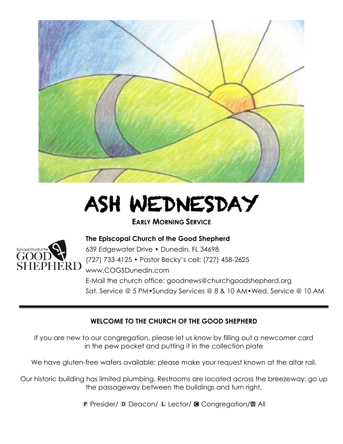

# ASH WEDNESDAY

# **EARLY MORNING SERVICE**



# **The Episcopal Church of the Good Shepherd**

639 Edgewater Drive • Dunedin, FL 34698 (727) 733-4125 • Pastor Becky's cell: (727) 458-2625 [www.COGSDunedin.com](http://www.cogsdunedin.com/) E-Mail the church office: [goodnews@churchgoodshepherd.org](mailto:goodnews@churchgoodshepherd.org) Sat. Service @ 5 PM•Sunday Services @ 8 & 10 AM•Wed. Service @ 10 AM

# **WELCOME TO THE CHURCH OF THE GOOD SHEPHERD**

If you are new to our congregation, please let us know by filling out a newcomer card in the pew pocket and putting it in the collection plate

We have gluten-free wafers available: please make your request known at the altar rail.

Our historic building has limited plumbing. Restrooms are located across the breezeway; go up the passageway between the buildings and turn right.

P Presider/ D Deacon/ L Lector/ @ Congregation/ M All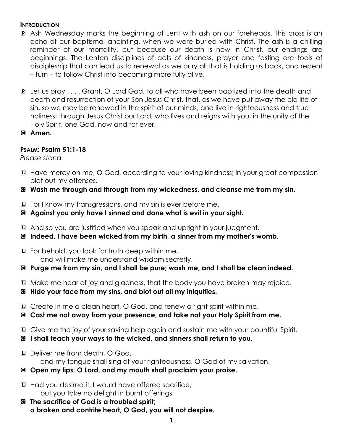#### **INTRODUCTION**

- P Ash Wednesday marks the beginning of Lent with ash on our foreheads. This cross is an echo of our baptismal anointing, when we were buried with Christ. The ash is a chilling reminder of our mortality, but because our death is now in Christ, our endings are beginnings. The Lenten disciplines of acts of kindness, prayer and fasting are tools of discipleship that can lead us to renewal as we bury all that is holding us back, and repent – turn – to follow Christ into becoming more fully alive.
- P Let us pray . . . . Grant, O Lord God, to all who have been baptized into the death and death and resurrection of your Son Jesus Christ, that, as we have put away the old life of sin, so we may be renewed in the spirit of our minds, and live in righteousness and true holiness; through Jesus Christ our Lord, who lives and reigns with you, in the unity of the Holy Spirit, one God, now and for ever.
- C **Amen.**

## **PSALM: Psalm 51:1-18**

*Please stand.*

- L Have mercy on me, O God, according to your loving kindness; in your great compassion blot out my offenses.
- C **Wash me through and through from my wickedness, and cleanse me from my sin.**
- L For I know my transgressions, and my sin is ever before me.
- C **Against you only have I sinned and done what is evil in your sight.**
- L And so you are justified when you speak and upright in your judgment.
- C **Indeed, I have been wicked from my birth, a sinner from my mother's womb.**
- L For behold, you look for truth deep within me, and will make me understand wisdom secretly.
- C **Purge me from my sin, and I shall be pure; wash me, and I shall be clean indeed.**
- L Make me hear of joy and gladness, that the body you have broken may rejoice.
- C **Hide your face from my sins, and blot out all my iniquities.**
- L Create in me a clean heart, O God, and renew a right spirit within me.
- C **Cast me not away from your presence, and take not your Holy Spirit from me.**
- L Give me the joy of your saving help again and sustain me with your bountiful Spirit.
- C **I shall teach your ways to the wicked, and sinners shall return to you.**
- L Deliver me from death, O God, and my tongue shall sing of your righteousness, O God of my salvation.
- C **Open my lips, O Lord, and my mouth shall proclaim your praise.**
- L Had you desired it, I would have offered sacrifice, but you take no delight in burnt offerings.
- C **The sacrifice of God is a troubled spirit; a broken and contrite heart, O God, you will not despise.**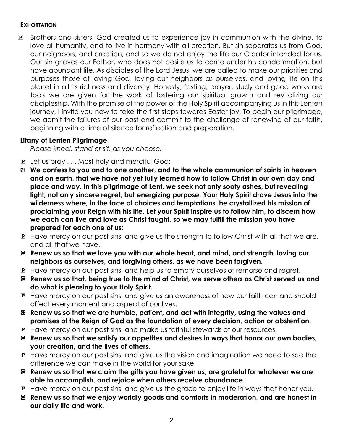#### **EXHORTATION**

P Brothers and sisters: God created us to experience joy in communion with the divine, to love all humanity, and to live in harmony with all creation. But sin separates us from God, our neighbors, and creation, and so we do not enjoy the life our Creator intended for us. Our sin grieves our Father, who does not desire us to come under his condemnation, but have abundant life. As disciples of the Lord Jesus, we are called to make our priorities and purposes those of loving God, loving our neighbors as ourselves, and loving life on this planet in all its richness and diversity. Honesty, fasting, prayer, study and good works are tools we are given for the work of fostering our spiritual growth and revitalizing our discipleship. With the promise of the power of the Holy Spirit accompanying us in this Lenten journey, I invite you now to take the first steps towards Easter joy. To begin our pilgrimage, we admit the failures of our past and commit to the challenge of renewing of our faith, beginning with a time of silence for reflection and preparation.

#### **Litany of Lenten Pilgrimage**

*Please kneel, stand or sit, as you choose.*

- P Let us pray . . . Most holy and merciful God:
- a **We confess to you and to one another, and to the whole communion of saints in heaven and on earth, that we have not yet fully learned how to follow Christ in our own day and place and way. In this pilgrimage of Lent, we seek not only sooty ashes, but revealing light; not only sincere regret, but energizing purpose. Your Holy Spirit drove Jesus into the wilderness where, in the face of choices and temptations, he crystallized his mission of proclaiming your Reign with his life. Let your Spirit inspire us to follow him, to discern how we each can live and love as Christ taught, so we may fulfill the mission you have prepared for each one of us:**
- P Have mercy on our past sins, and give us the strength to follow Christ with all that we are, and all that we have.
- C **Renew us so that we love you with our whole heart, and mind, and strength, loving our neighbors as ourselves, and forgiving others, as we have been forgiven.**
- P Have mercy on our past sins, and help us to empty ourselves of remorse and regret.
- C **Renew us so that, being true to the mind of Christ, we serve others as Christ served us and do what is pleasing to your Holy Spirit.**
- P Have mercy on our past sins, and give us an awareness of how our faith can and should affect every moment and aspect of our lives.
- C **Renew us so that we are humble, patient, and act with integrity, using the values and promises of the Reign of God as the foundation of every decision, action or abstention.**
- P Have mercy on our past sins, and make us faithful stewards of our resources.
- C **Renew us so that we satisfy our appetites and desires in ways that honor our own bodies, your creation, and the lives of others.**
- P Have mercy on our past sins, and give us the vision and imagination we need to see the difference we can make in the world for your sake.
- C **Renew us so that we claim the gifts you have given us, are grateful for whatever we are able to accomplish, and rejoice when others receive abundance.**
- P Have mercy on our past sins, and give us the grace to enjoy life in ways that honor you.
- C **Renew us so that we enjoy worldly goods and comforts in moderation, and are honest in our daily life and work.**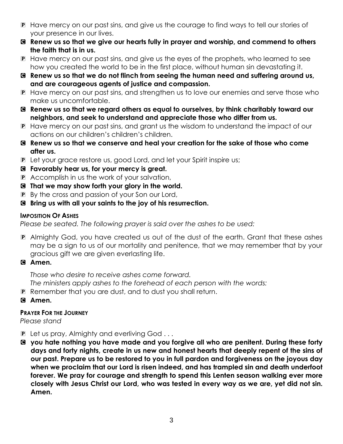- P Have mercy on our past sins, and give us the courage to find ways to tell our stories of your presence in our lives.
- C **Renew us so that we give our hearts fully in prayer and worship, and commend to others the faith that is in us.**
- P Have mercy on our past sins, and give us the eyes of the prophets, who learned to see how you created the world to be in the first place, without human sin devastating it.
- C **Renew us so that we do not flinch from seeing the human need and suffering around us, and are courageous agents of justice and compassion.**
- P Have mercy on our past sins, and strengthen us to love our enemies and serve those who make us uncomfortable.
- C **Renew us so that we regard others as equal to ourselves, by think charitably toward our neighbors, and seek to understand and appreciate those who differ from us.**
- P Have mercy on our past sins, and grant us the wisdom to understand the impact of our actions on our children's children's children.
- C **Renew us so that we conserve and heal your creation for the sake of those who come after us.**
- P Let your grace restore us, good Lord, and let your Spirit inspire us;
- C **Favorably hear us, for your mercy is great.**
- P Accomplish in us the work of your salvation,
- C **That we may show forth your glory in the world.**
- P By the cross and passion of your Son our Lord,
- C **Bring us with all your saints to the joy of his resurrection.**

### **IMPOSITION OF ASHES**

*Please be seated. The following prayer is said over the ashes to be used:*

- P Almighty God, you have created us out of the dust of the earth. Grant that these ashes may be a sign to us of our mortality and penitence, that we may remember that by your gracious gift we are given everlasting life.
- C **Amen.**

*Those who desire to receive ashes come forward.* 

*The ministers apply ashes to the forehead of each person with the words:*

- P Remember that you are dust, and to dust you shall return.
- C **Amen.**

## **PRAYER FOR THE JOURNEY**

*Please stand*

- P Let us pray, Almighty and everliving God . . .
- C **you hate nothing you have made and you forgive all who are penitent. During these forty days and forty nights, create in us new and honest hearts that deeply repent of the sins of our past. Prepare us to be restored to you in full pardon and forgiveness on the joyous day when we proclaim that our Lord is risen indeed, and has trampled sin and death underfoot forever. We pray for courage and strength to spend this Lenten season walking ever more closely with Jesus Christ our Lord, who was tested in every way as we are, yet did not sin. Amen.**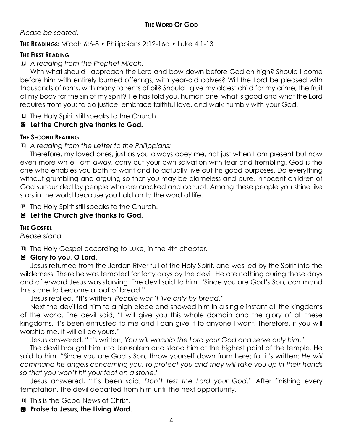*Please be seated.*

## **THE READINGS:** Micah 6:6-8 • Philippians [2:12-16a](https://www.biblegateway.com/passage/?search=Philippians+2%3A12-16a&version=CEB) • Luke 4:1-13

## **THE FIRST READING**

L *A reading from the Prophet Micah:*

With what should I approach the Lord and bow down before God on high? Should I come before him with entirely burned offerings, with year-old calves? Will the Lord be pleased with thousands of rams, with many torrents of oil? Should I give my oldest child for my crime; the fruit of my body for the sin of my spirit? He has told you, human one, what is good and what the Lord requires from you: to do justice, embrace faithful love, and walk humbly with your God.

L The Holy Spirit still speaks to the Church.

# C **Let the Church give thanks to God.**

## **THE SECOND READING**

## L *A reading from the Letter to the Philippians:*

Therefore, my loved ones, just as you always obey me, not just when I am present but now even more while I am away, carry out your own salvation with fear and trembling. God is the one who enables you both to want and to actually live out his good purposes. Do everything without grumbling and arguing so that you may be blameless and pure, innocent children of God surrounded by people who are crooked and corrupt. Among these people you shine like stars in the world because you hold on to the word of life.

P The Holy Spirit still speaks to the Church.

# C **Let the Church give thanks to God.**

## **THE GOSPEL**

*Please stand.*

D The Holy Gospel according to Luke, in the 4th chapter.

# C **Glory to you, O Lord.**

Jesus returned from the Jordan River full of the Holy Spirit, and was led by the Spirit into the wilderness. There he was tempted for forty days by the devil. He ate nothing during those days and afterward Jesus was starving. The devil said to him, "Since you are God's Son, command this stone to become a loaf of bread."

Jesus replied, "It's written, *People won't live only by bread*."

Next the devil led him to a high place and showed him in a single instant all the kingdoms of the world. The devil said, "I will give you this whole domain and the glory of all these kingdoms. It's been entrusted to me and I can give it to anyone I want. Therefore, if you will worship me, it will all be yours."

Jesus answered, "It's written, *You will worship the Lord your God and serve only him*."

The devil brought him into Jerusalem and stood him at the highest point of the temple. He said to him, "Since you are God's Son, throw yourself down from here; for it's written: *He will command his angels concerning you, to protect you and they will take you up in their hands so that you won't hit your foot on a stone*."

Jesus answered, "It's been said, *Don't test the Lord your God*." After finishing every temptation, the devil departed from him until the next opportunity.

D This is the Good News of Christ.

C **Praise to Jesus, the Living Word.**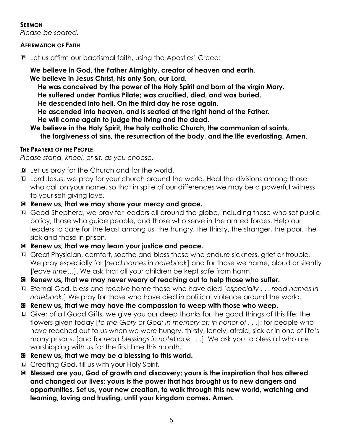## **SERMON**

*Please be seated.*

## **AFFIRMATION OF FAITH**

P Let us affirm our baptismal faith, using the Apostles' Creed:

**We believe in God, the Father Almighty, creator of heaven and earth. We believe in Jesus Christ, his only Son, our Lord.** 

**He was conceived by the power of the Holy Spirit and born of the virgin Mary.** 

**He suffered under Pontius Pilate; was crucified, died, and was buried.** 

**He descended into hell. On the third day he rose again.** 

**He ascended into heaven, and is seated at the right hand of the Father.** 

- **He will come again to judge the living and the dead.**
- **We believe in the Holy Spirit, the holy catholic Church, the communion of saints, the forgiveness of sins, the resurrection of the body, and the life everlasting. Amen.**

# **THE PRAYERS OF THE PEOPLE**

*Please stand, kneel, or sit, as you choose.*

- D Let us pray for the Church and for the world.
- L Lord Jesus, we pray for your church around the world. Heal the divisions among those who call on your name, so that in spite of our differences we may be a powerful witness to your self-giving love.
- C **Renew us, that we may share your mercy and grace.**
- L Good Shepherd, we pray for leaders all around the globe, including those who set public policy, those who guide people, and those who serve in the armed forces. Help our leaders to care for the least among us, the hungry, the thirsty, the stranger, the poor, the sick and those in prison.
- C **Renew us, that we may learn your justice and peace.**
- L Great Physician, comfort, soothe and bless those who endure sickness, grief or trouble. We pray especially for [*read names in notebook*] and for those we name, aloud or silently [*leave time*…]. We ask that all your children be kept safe from harm.
- C **Renew us, that we may never weary of reaching out to help those who suffer.**
- L Eternal God, bless and receive home those who have died [*especially* . . . *read names in notebook.*] We pray for those who have died in political violence around the world.
- C **Renew us, that we may have the compassion to weep with those who weep.**
- L Giver of all Good Gifts, we give you our deep thanks for the good things of this life: the flowers given today [*to the Glory of God; in memory of; in honor of . . .*]; for people who have reached out to us when we were hungry, thirsty, lonely, afraid, sick or in one of life's many prisons, [and for *read blessings in notebook . . .*] We ask you to bless all who are worshipping with us for the first time this month.
- C **Renew us, that we may be a blessing to this world.**
- L Creating God, fill us with your Holy Spirit.
- C **Blessed are you, God of growth and discovery; yours is the inspiration that has altered and changed our lives; yours is the power that has brought us to new dangers and opportunities. Set us, your new creation, to walk through this new world, watching and learning, loving and trusting, until your kingdom comes. Amen.**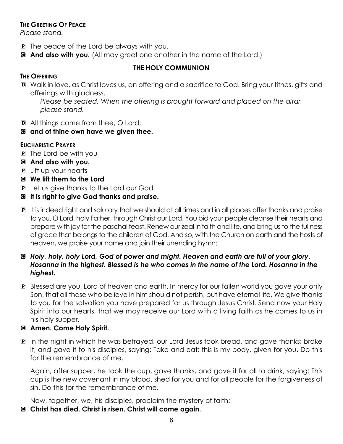## **THE GREETING OF PEACE**

*Please stand.*

- P The peace of the Lord be always with you.
- C **And also with you.** (All may greet one another in the name of the Lord.)

## **THE HOLY COMMUNION**

### **THE OFFERING**

D Walk in love, as Christ loves us, an offering and a sacrifice to God. Bring your tithes, gifts and offerings with gladness.

*Please be seated. When the offering is brought forward and placed on the altar, please stand.*

- D All things come from thee, O Lord;
- C **and of thine own have we given thee.**

## **EUCHARISTIC PRAYER**

- P The Lord be with you
- C **And also with you.**
- P Lift up your hearts
- C **We lift them to the Lord**
- P Let us give thanks to the Lord our God
- C **It is right to give God thanks and praise.**
- P It is indeed right and salutary that we should at all times and in all places offer thanks and praise to you, O Lord, holy Father, through Christ our Lord. You bid your people cleanse their hearts and prepare with joy for the paschal feast. Renew our zeal in faith and life, and bring us to the fullness of grace that belongs to the children of God. And so, with the Church on earth and the hosts of heaven, we praise your name and join their unending hymn:

#### C *Holy, holy, holy Lord, God of power and might. Heaven and earth are full of your glory. Hosanna in the highest. Blessed is he who comes in the name of the Lord. Hosanna in the highest.*

P Blessed are you, Lord of heaven and earth. In mercy for our fallen world you gave your only Son, that all those who believe in him should not perish, but have eternal life. We give thanks to you for the salvation you have prepared for us through Jesus Christ. Send now your Holy Spirit into our hearts, that we may receive our Lord with a living faith as he comes to us in his holy supper.

## C **Amen. Come Holy Spirit.**

P In the night in which he was betrayed, our Lord Jesus took bread, and gave thanks; broke it, and gave it to his disciples, saying: Take and eat; this is my body, given for you. Do this for the remembrance of me.

Again, after supper, he took the cup, gave thanks, and gave it for all to drink, saying: This cup is the new covenant in my blood, shed for you and for all people for the forgiveness of sin. Do this for the remembrance of me.

Now, together, we, his disciples, proclaim the mystery of faith:

C **Christ has died. Christ is risen. Christ will come again.**